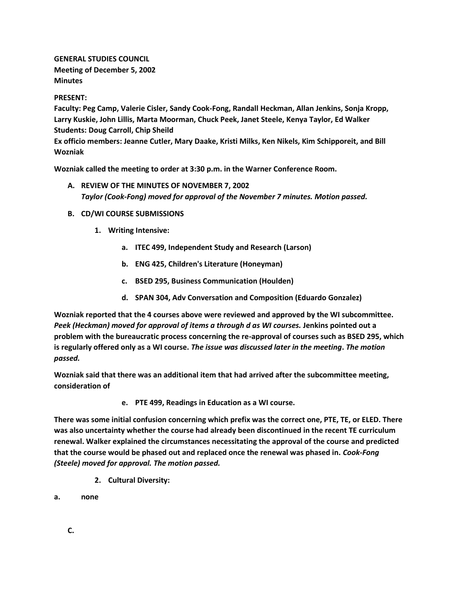**GENERAL STUDIES COUNCIL Meeting of December 5, 2002 Minutes**

# **PRESENT:**

**Faculty: Peg Camp, Valerie Cisler, Sandy Cook-Fong, Randall Heckman, Allan Jenkins, Sonja Kropp, Larry Kuskie, John Lillis, Marta Moorman, Chuck Peek, Janet Steele, Kenya Taylor, Ed Walker Students: Doug Carroll, Chip Sheild**

**Ex officio members: Jeanne Cutler, Mary Daake, Kristi Milks, Ken Nikels, Kim Schipporeit, and Bill Wozniak**

**Wozniak called the meeting to order at 3:30 p.m. in the Warner Conference Room.**

- **A. REVIEW OF THE MINUTES OF NOVEMBER 7, 2002** *Taylor (Cook-Fong) moved for approval of the November 7 minutes. Motion passed.*
- **B. CD/WI COURSE SUBMISSIONS**
	- **1. Writing Intensive:** 
		- **a. ITEC 499, Independent Study and Research (Larson)**
		- **b. ENG 425, Children's Literature (Honeyman)**
		- **c. BSED 295, Business Communication (Houlden)**
		- **d. SPAN 304, Adv Conversation and Composition (Eduardo Gonzalez)**

**Wozniak reported that the 4 courses above were reviewed and approved by the WI subcommittee.** *Peek (Heckman) moved for approval of items a through d as WI courses.* **Jenkins pointed out a problem with the bureaucratic process concerning the re-approval of courses such as BSED 295, which is regularly offered only as a WI course.** *The issue was discussed later in the meeting***.** *The motion passed.*

**Wozniak said that there was an additional item that had arrived after the subcommittee meeting, consideration of**

**e. PTE 499, Readings in Education as a WI course.**

**There was some initial confusion concerning which prefix was the correct one, PTE, TE, or ELED. There was also uncertainty whether the course had already been discontinued in the recent TE curriculum renewal. Walker explained the circumstances necessitating the approval of the course and predicted that the course would be phased out and replaced once the renewal was phased in.** *Cook-Fong (Steele) moved for approval. The motion passed.*

- **2. Cultural Diversity:**
- **a. none**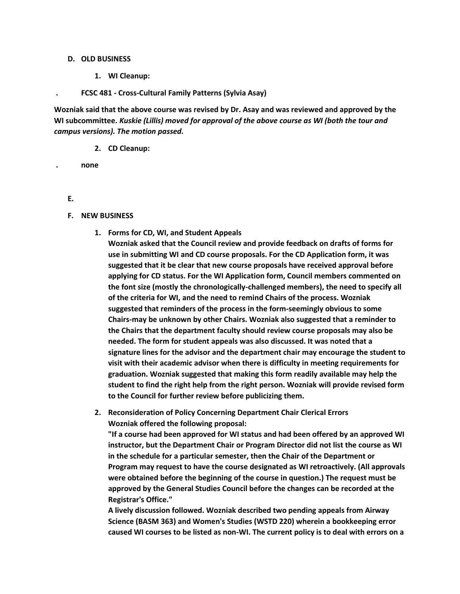#### **D. OLD BUSINESS**

**1. WI Cleanup:** 

### **. FCSC 481 - Cross-Cultural Family Patterns (Sylvia Asay)**

**Wozniak said that the above course was revised by Dr. Asay and was reviewed and approved by the WI subcommittee.** *Kuskie (Lillis) moved for approval of the above course as WI (both the tour and campus versions). The motion passed.*

**2. CD Cleanup:** 

**. none**

- **E.**
- **F. NEW BUSINESS**
	- **1. Forms for CD, WI, and Student Appeals**

**Wozniak asked that the Council review and provide feedback on drafts of forms for use in submitting WI and CD course proposals. For the CD Application form, it was suggested that it be clear that new course proposals have received approval before applying for CD status. For the WI Application form, Council members commented on the font size (mostly the chronologically-challenged members), the need to specify all of the criteria for WI, and the need to remind Chairs of the process. Wozniak suggested that reminders of the process in the form-seemingly obvious to some Chairs-may be unknown by other Chairs. Wozniak also suggested that a reminder to the Chairs that the department faculty should review course proposals may also be needed. The form for student appeals was also discussed. It was noted that a signature lines for the advisor and the department chair may encourage the student to visit with their academic advisor when there is difficulty in meeting requirements for graduation. Wozniak suggested that making this form readily available may help the student to find the right help from the right person. Wozniak will provide revised form to the Council for further review before publicizing them.**

**2. Reconsideration of Policy Concerning Department Chair Clerical Errors Wozniak offered the following proposal:**

**"If a course had been approved for WI status and had been offered by an approved WI instructor, but the Department Chair or Program Director did not list the course as WI in the schedule for a particular semester, then the Chair of the Department or Program may request to have the course designated as WI retroactively. (All approvals were obtained before the beginning of the course in question.) The request must be approved by the General Studies Council before the changes can be recorded at the Registrar's Office."**

**A lively discussion followed. Wozniak described two pending appeals from Airway Science (BASM 363) and Women's Studies (WSTD 220) wherein a bookkeeping error caused WI courses to be listed as non-WI. The current policy is to deal with errors on a**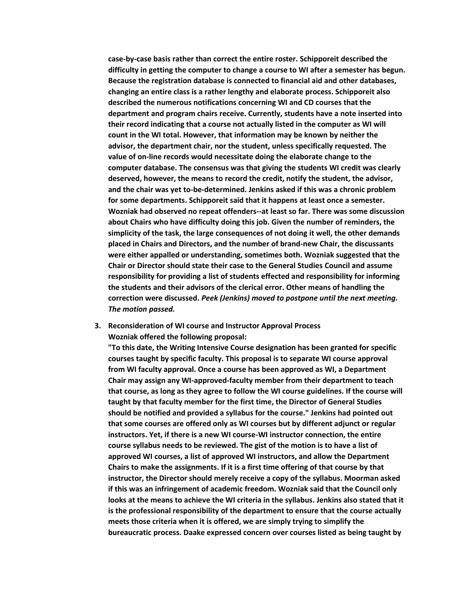**case-by-case basis rather than correct the entire roster. Schipporeit described the difficulty in getting the computer to change a course to WI after a semester has begun. Because the registration database is connected to financial aid and other databases, changing an entire class is a rather lengthy and elaborate process. Schipporeit also described the numerous notifications concerning WI and CD courses that the department and program chairs receive. Currently, students have a note inserted into their record indicating that a course not actually listed in the computer as WI will count in the WI total. However, that information may be known by neither the advisor, the department chair, nor the student, unless specifically requested. The value of on-line records would necessitate doing the elaborate change to the computer database. The consensus was that giving the students WI credit was clearly deserved, however, the means to record the credit, notify the student, the advisor, and the chair was yet to-be-determined. Jenkins asked if this was a chronic problem for some departments. Schipporeit said that it happens at least once a semester. Wozniak had observed no repeat offenders--at least so far. There was some discussion about Chairs who have difficulty doing this job. Given the number of reminders, the simplicity of the task, the large consequences of not doing it well, the other demands placed in Chairs and Directors, and the number of brand-new Chair, the discussants were either appalled or understanding, sometimes both. Wozniak suggested that the Chair or Director should state their case to the General Studies Council and assume responsibility for providing a list of students effected and responsibility for informing the students and their advisors of the clerical error. Other means of handling the correction were discussed.** *Peek (Jenkins) moved to postpone until the next meeting. The motion passed.*

**3. Reconsideration of WI course and Instructor Approval Process Wozniak offered the following proposal:**

**"To this date, the Writing Intensive Course designation has been granted for specific courses taught by specific faculty. This proposal is to separate WI course approval from WI faculty approval. Once a course has been approved as WI, a Department Chair may assign any WI-approved-faculty member from their department to teach that course, as long as they agree to follow the WI course guidelines. If the course will taught by that faculty member for the first time, the Director of General Studies should be notified and provided a syllabus for the course." Jenkins had pointed out that some courses are offered only as WI courses but by different adjunct or regular instructors. Yet, if there is a new WI course-WI instructor connection, the entire course syllabus needs to be reviewed. The gist of the motion is to have a list of approved WI courses, a list of approved WI instructors, and allow the Department Chairs to make the assignments. If it is a first time offering of that course by that instructor, the Director should merely receive a copy of the syllabus. Moorman asked if this was an infringement of academic freedom. Wozniak said that the Council only looks at the means to achieve the WI criteria in the syllabus. Jenkins also stated that it is the professional responsibility of the department to ensure that the course actually meets those criteria when it is offered, we are simply trying to simplify the bureaucratic process. Daake expressed concern over courses listed as being taught by**